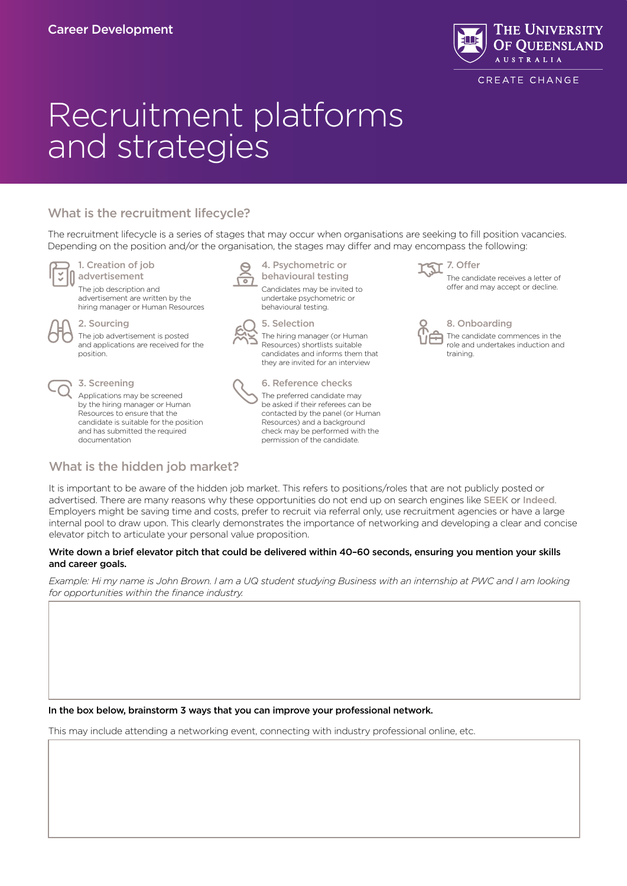

CREATE CHANGE

# Recruitment platforms and strategies

# What is the recruitment lifecycle?

The recruitment lifecycle is a series of stages that may occur when organisations are seeking to fill position vacancies. Depending on the position and/or the organisation, the stages may differ and may encompass the following:



#### 1. Creation of job nadvertisement

The job description and advertisement are written by the hiring manager or Human Resources

#### 2. Sourcing

The job advertisement is posted and applications are received for the position.



## 3. Screening

Applications may be screened by the hiring manager or Human Resources to ensure that the candidate is suitable for the position and has submitted the required documentation

What is the hidden job market?



4. Psychometric or behavioural testing

Candidates may be invited to undertake psychometric or behavioural testing.



5. Selection The hiring manager (or Human Resources) shortlists suitable candidates and informs them that they are invited for an interview



6. Reference checks The preferred candidate may be asked if their referees can be contacted by the panel (or Human Resources) and a background check may be performed with the permission of the candidate.

7. Offer

The candidate receives a letter of offer and may accept or decline.

8. Onboarding

The candidate commences in the role and undertakes induction and training.

It is important to be aware of the hidden job market. This refers to positions/roles that are not publicly posted or advertised. There are many reasons why these opportunities do not end up on search engines like [SEEK](https://www.seek.com.au/) or [Indeed](https://au.indeed.com/). Employers might be saving time and costs, prefer to recruit via referral only, use recruitment agencies or have a large internal pool to draw upon. This clearly demonstrates the importance of networking and developing a clear and concise elevator pitch to articulate your personal value proposition.

## Write down a brief elevator pitch that could be delivered within 40–60 seconds, ensuring you mention your skills and career goals.

*Example: Hi my name is John Brown. I am a UQ student studying Business with an internship at PWC and I am looking for opportunities within the finance industry.*

In the box below, brainstorm 3 ways that you can improve your professional network.

This may include attending a networking event, connecting with industry professional online, etc.